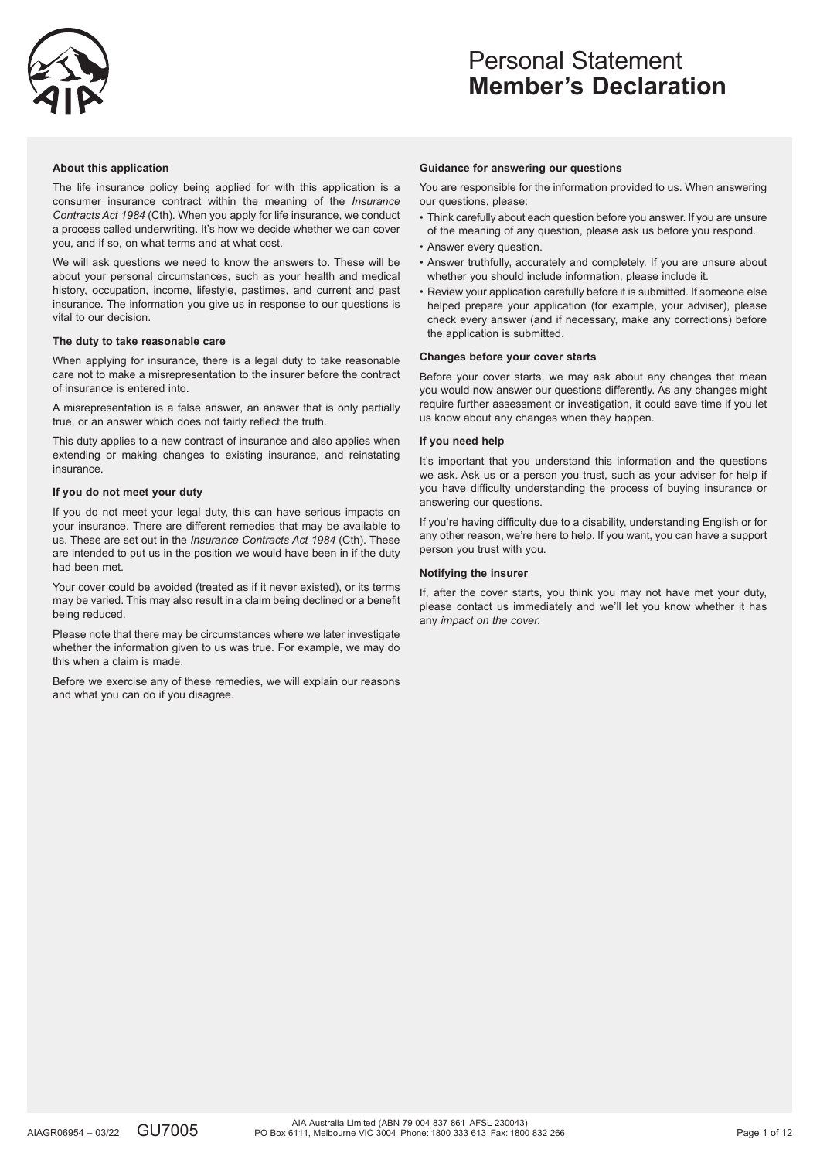

### **About this application**

The life insurance policy being applied for with this application is a consumer insurance contract within the meaning of the *Insurance Contracts Act 1984* (Cth). When you apply for life insurance, we conduct a process called underwriting. It's how we decide whether we can cover you, and if so, on what terms and at what cost.

We will ask questions we need to know the answers to. These will be about your personal circumstances, such as your health and medical history, occupation, income, lifestyle, pastimes, and current and past insurance. The information you give us in response to our questions is vital to our decision.

### **The duty to take reasonable care**

When applying for insurance, there is a legal duty to take reasonable care not to make a misrepresentation to the insurer before the contract of insurance is entered into.

A misrepresentation is a false answer, an answer that is only partially true, or an answer which does not fairly reflect the truth.

This duty applies to a new contract of insurance and also applies when extending or making changes to existing insurance, and reinstating insurance.

### **If you do not meet your duty**

If you do not meet your legal duty, this can have serious impacts on your insurance. There are different remedies that may be available to us. These are set out in the *Insurance Contracts Act 1984* (Cth). These are intended to put us in the position we would have been in if the duty had been met.

Your cover could be avoided (treated as if it never existed), or its terms may be varied. This may also result in a claim being declined or a benefit being reduced.

Please note that there may be circumstances where we later investigate whether the information given to us was true. For example, we may do this when a claim is made.

Before we exercise any of these remedies, we will explain our reasons and what you can do if you disagree.

#### **Guidance for answering our questions**

You are responsible for the information provided to us. When answering our questions, please:

- Think carefully about each question before you answer. If you are unsure of the meaning of any question, please ask us before you respond.
- Answer every question.
- Answer truthfully, accurately and completely. If you are unsure about whether you should include information, please include it.
- Review your application carefully before it is submitted. If someone else helped prepare your application (for example, your adviser), please check every answer (and if necessary, make any corrections) before the application is submitted.

### **Changes before your cover starts**

Before your cover starts, we may ask about any changes that mean you would now answer our questions differently. As any changes might require further assessment or investigation, it could save time if you let us know about any changes when they happen.

### **If you need help**

It's important that you understand this information and the questions we ask. Ask us or a person you trust, such as your adviser for help if you have difficulty understanding the process of buying insurance or answering our questions.

If you're having difficulty due to a disability, understanding English or for any other reason, we're here to help. If you want, you can have a support person you trust with you.

#### **Notifying the insurer**

If, after the cover starts, you think you may not have met your duty, please contact us immediately and we'll let you know whether it has any *impact on the cover.*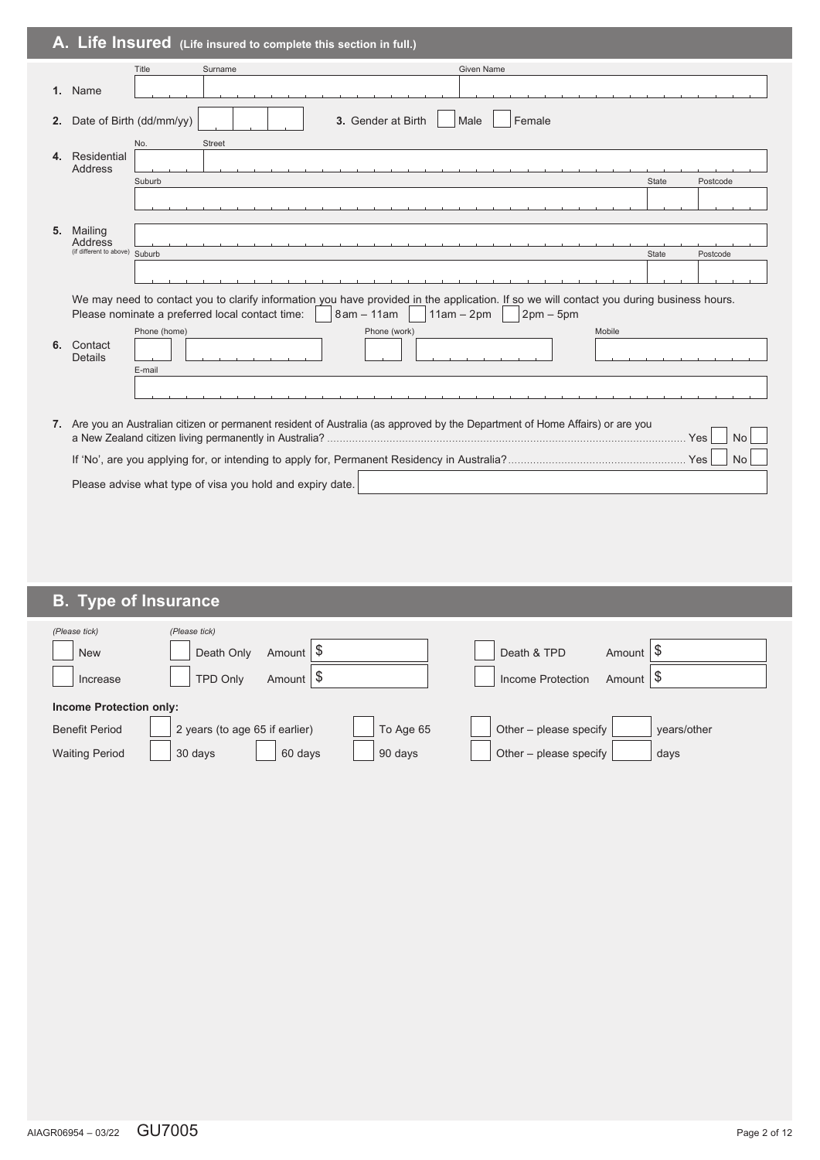|    |                                | A. Life Insured (Life insured to complete this section in full.)                                                                                                                                                                         |              |           |
|----|--------------------------------|------------------------------------------------------------------------------------------------------------------------------------------------------------------------------------------------------------------------------------------|--------------|-----------|
|    |                                | Title<br>Surname<br><b>Given Name</b>                                                                                                                                                                                                    |              |           |
|    | 1. Name                        |                                                                                                                                                                                                                                          |              |           |
| 2. |                                | Date of Birth (dd/mm/yy)<br>3. Gender at Birth<br>Female<br>Male<br>No.<br>Street                                                                                                                                                        |              |           |
|    | 4. Residential<br>Address      |                                                                                                                                                                                                                                          |              |           |
|    |                                | Suburb                                                                                                                                                                                                                                   | <b>State</b> | Postcode  |
| 5. | Mailing<br>Address             |                                                                                                                                                                                                                                          |              |           |
|    | (if different to above) Suburb |                                                                                                                                                                                                                                          | State        | Postcode  |
|    |                                | We may need to contact you to clarify information you have provided in the application. If so we will contact you during business hours.<br>Please nominate a preferred local contact time:<br>$8am - 11am$<br>$11am - 2pm$<br>$2pm-5pm$ |              |           |
| 6. | Contact<br>Details             | Phone (home)<br>Phone (work)<br>Mobile<br>E-mail                                                                                                                                                                                         |              |           |
|    |                                |                                                                                                                                                                                                                                          |              |           |
|    |                                | 7. Are you an Australian citizen or permanent resident of Australia (as approved by the Department of Home Affairs) or are you                                                                                                           | . Yes        | <b>No</b> |
|    |                                |                                                                                                                                                                                                                                          |              | <b>No</b> |
|    |                                | Please advise what type of visa you hold and expiry date.                                                                                                                                                                                |              |           |

# **B. Type of Insurance**

| (Please tick)<br><b>New</b><br>Increase | (Please tick)<br>Death Only<br><b>TPD Only</b> | Amount $\phi$<br>Amount   \$ |           | Death & TPD<br>Income Protection | Amount $\forall$<br>Amount   \$ |             |
|-----------------------------------------|------------------------------------------------|------------------------------|-----------|----------------------------------|---------------------------------|-------------|
| <b>Income Protection only:</b>          |                                                |                              |           |                                  |                                 |             |
| <b>Benefit Period</b>                   | 2 years (to age 65 if earlier)                 |                              | To Age 65 | Other - please specify           |                                 | vears/other |
| <b>Waiting Period</b>                   | 30 days                                        | 60 days                      | 90 days   | Other – please specify           |                                 | days        |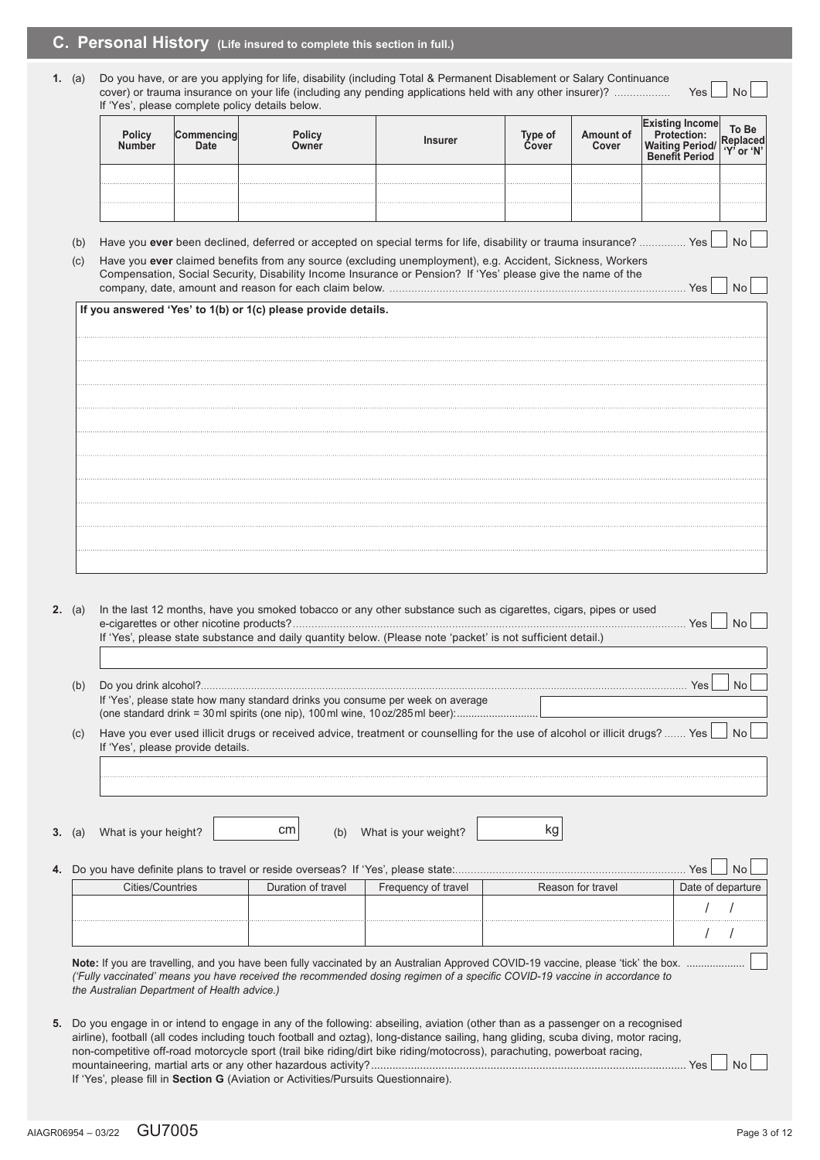# **C. Personal History (Life insured to complete this section in full.)**

**1.** (a) Do you have, or are you applying for life, disability (including Total & Permanent Disablement or Salary Continuance cover) or trauma insurance on your life (including any pending applications held with any other insurer)? .................. Yes No If 'Yes', please complete policy details below.

| Policy<br>Number | DIIC'<br>)wner | าsurer | lype of<br>Cover | <b>Amount of<br/>Cover</b> | Го Ве |
|------------------|----------------|--------|------------------|----------------------------|-------|
|                  |                |        |                  |                            |       |
|                  |                |        |                  |                            |       |
|                  |                |        |                  |                            |       |

- (b) Have you ever been declined, deferred or accepted on special terms for life, disability or trauma insurance? ................ Yes  $\Box$  No
- (c) Have you **ever** claimed benefits from any source (excluding unemployment), e.g. Accident, Sickness, Workers Compensation, Social Security, Disability Income Insurance or Pension? If 'Yes' please give the name of the company, date, amount and reason for each claim below. ............................................................................................... Yes No

| If you answered 'Yes' to 1(b) or 1(c) please provide details. |
|---------------------------------------------------------------|
|                                                               |
|                                                               |
|                                                               |
|                                                               |
|                                                               |
|                                                               |
|                                                               |
|                                                               |
|                                                               |
|                                                               |

| <b>2.</b> (a) | In the last 12 months, have you smoked tobacco or any other substance such as cigarettes, cigars, pipes or used<br>If 'Yes', please state substance and daily quantity below. (Please note 'packet' is not sufficient detail.) |                    |                      |                                                                                                                                                                                                                                                                        |       |                   |  |
|---------------|--------------------------------------------------------------------------------------------------------------------------------------------------------------------------------------------------------------------------------|--------------------|----------------------|------------------------------------------------------------------------------------------------------------------------------------------------------------------------------------------------------------------------------------------------------------------------|-------|-------------------|--|
| (b)           | If 'Yes', please state how many standard drinks you consume per week on average                                                                                                                                                |                    |                      |                                                                                                                                                                                                                                                                        | Yes   | <b>No</b>         |  |
| (c)           | If 'Yes', please provide details.                                                                                                                                                                                              |                    |                      | Have you ever used illicit drugs or received advice, treatment or counselling for the use of alcohol or illicit drugs?  Yes                                                                                                                                            |       | <b>No</b>         |  |
| 3. (a)        | What is your height?                                                                                                                                                                                                           | cm<br>(b)          | What is your weight? | kg                                                                                                                                                                                                                                                                     |       |                   |  |
|               |                                                                                                                                                                                                                                |                    |                      |                                                                                                                                                                                                                                                                        | Yes   | <b>No</b>         |  |
|               |                                                                                                                                                                                                                                | Duration of travel | Frequency of travel  | Reason for travel                                                                                                                                                                                                                                                      |       | Date of departure |  |
|               | <b>Cities/Countries</b>                                                                                                                                                                                                        |                    |                      |                                                                                                                                                                                                                                                                        |       |                   |  |
|               |                                                                                                                                                                                                                                |                    |                      |                                                                                                                                                                                                                                                                        |       |                   |  |
|               |                                                                                                                                                                                                                                |                    |                      |                                                                                                                                                                                                                                                                        |       |                   |  |
|               | the Australian Department of Health advice.)                                                                                                                                                                                   |                    |                      | Note: If you are travelling, and you have been fully vaccinated by an Australian Approved COVID-19 vaccine, please 'tick' the box.<br>('Fully vaccinated' means you have received the recommended dosing regimen of a specific COVID-19 vaccine in accordance to       |       |                   |  |
|               | non-competitive off-road motorcycle sport (trail bike riding/dirt bike riding/motocross), parachuting, powerboat racing,<br>If 'Yes', please fill in Section G (Aviation or Activities/Pursuits Questionnaire).                |                    |                      | 5. Do you engage in or intend to engage in any of the following: abseiling, aviation (other than as a passenger on a recognised<br>airline), football (all codes including touch football and oztag), long-distance sailing, hang gliding, scuba diving, motor racing, | . Yes | No                |  |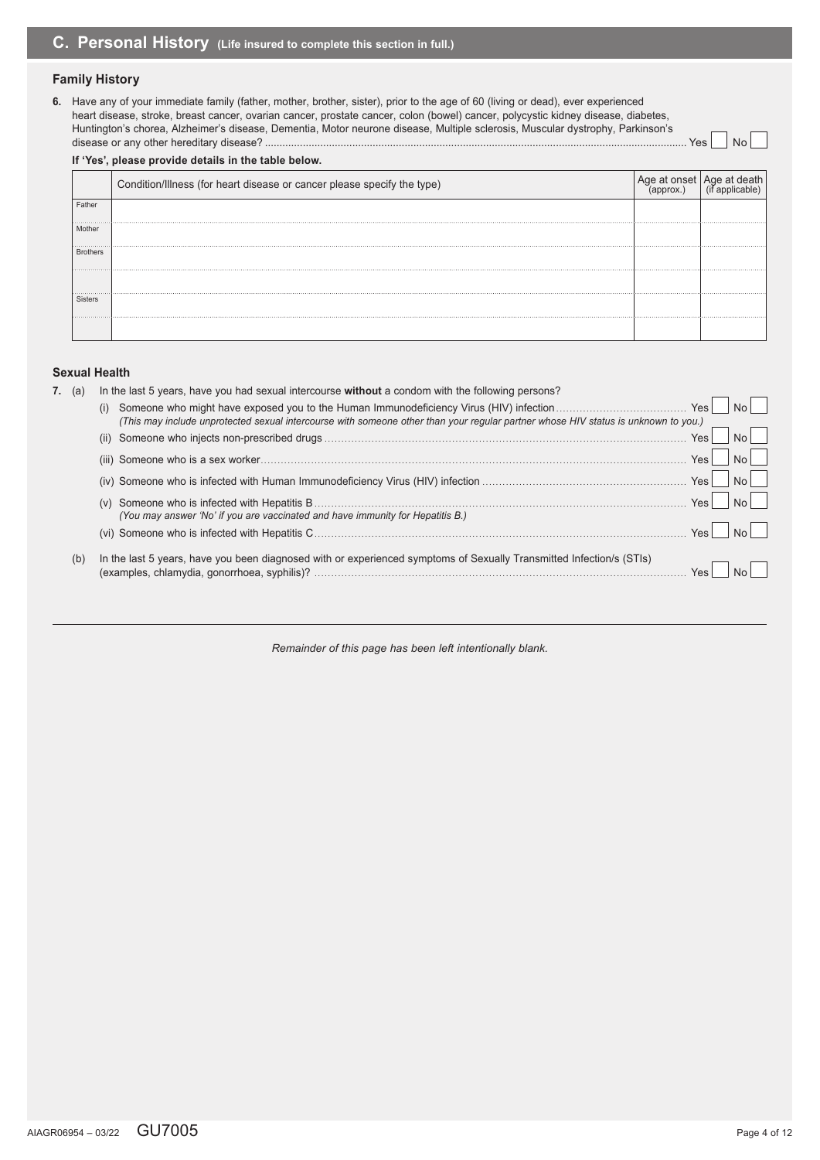### **Family History**

**6.** Have any of your immediate family (father, mother, brother, sister), prior to the age of 60 (living or dead), ever experienced heart disease, stroke, breast cancer, ovarian cancer, prostate cancer, colon (bowel) cancer, polycystic kidney disease, diabetes, Huntington's chorea, Alzheimer's disease, Dementia, Motor neurone disease, Multiple sclerosis, Muscular dystrophy, Parkinson's disease or any other hereditary disease? ................................................................................................................................................. Yes No

**If 'Yes', please provide details in the table below.** Condition/Illness (for heart disease or cancer please specify the type) Age at onset<br>(approx.) Age at death (if applicable) Father Mother Brothers Sisters

### **Sexual Health**

| <b>7.</b> (a) |     | In the last 5 years, have you had sexual intercourse without a condom with the following persons?                                  |            |  |  |  |  |  |  |
|---------------|-----|------------------------------------------------------------------------------------------------------------------------------------|------------|--|--|--|--|--|--|
|               |     | (i)                                                                                                                                | Yes        |  |  |  |  |  |  |
|               |     | (This may include unprotected sexual intercourse with someone other than your reqular partner whose HIV status is unknown to you.) |            |  |  |  |  |  |  |
|               |     | (ii)                                                                                                                               | <b>Yes</b> |  |  |  |  |  |  |
|               |     |                                                                                                                                    | Yes        |  |  |  |  |  |  |
|               |     |                                                                                                                                    | <b>Yes</b> |  |  |  |  |  |  |
|               |     |                                                                                                                                    | Yes        |  |  |  |  |  |  |
|               |     | (You may answer 'No' if you are vaccinated and have immunity for Hepatitis B.)                                                     |            |  |  |  |  |  |  |
|               |     |                                                                                                                                    | Yes        |  |  |  |  |  |  |
|               | (b) | In the last 5 years, have you been diagnosed with or experienced symptoms of Sexually Transmitted Infection/s (STIs)               |            |  |  |  |  |  |  |
|               |     |                                                                                                                                    |            |  |  |  |  |  |  |
|               |     |                                                                                                                                    |            |  |  |  |  |  |  |

*Remainder of this page has been left intentionally blank.*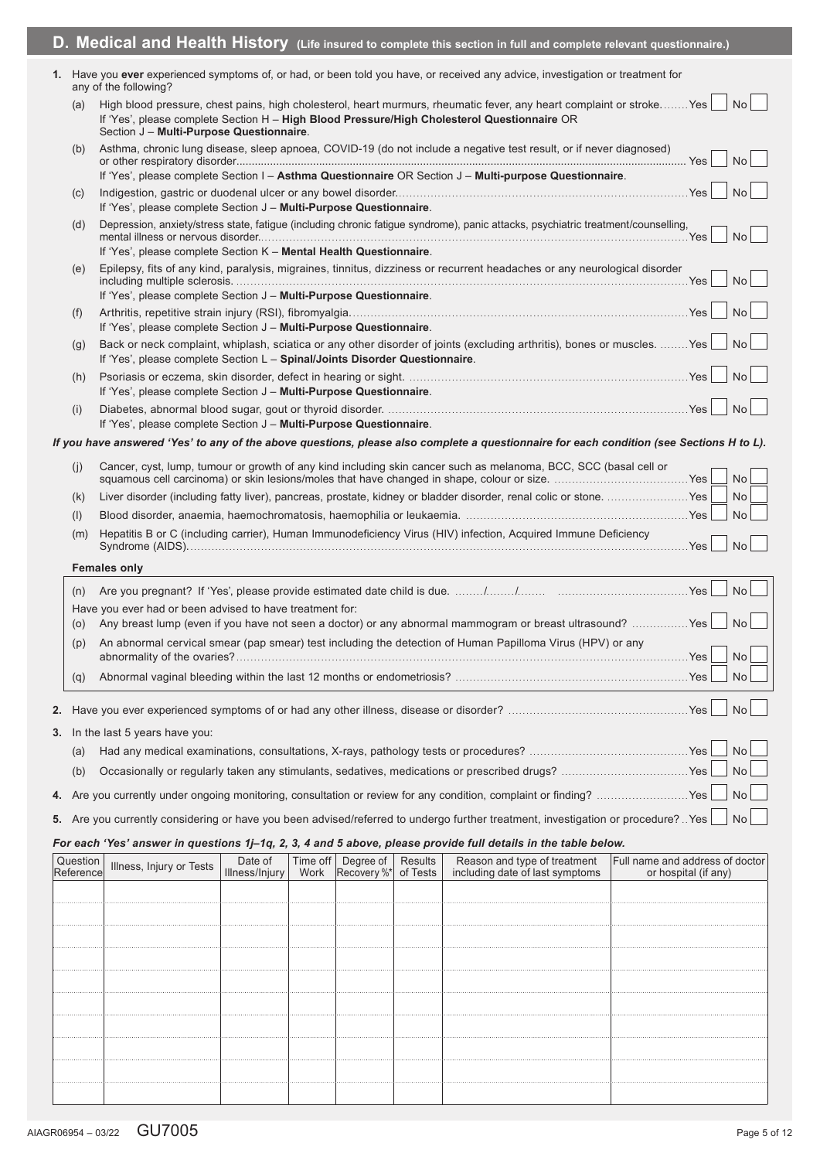|                       |                                                                               |                           |      |                                                |         | D. Medical and Health History (Life insured to complete this section in full and complete relevant questionnaire.)                                                                                                  |                                                         |    |
|-----------------------|-------------------------------------------------------------------------------|---------------------------|------|------------------------------------------------|---------|---------------------------------------------------------------------------------------------------------------------------------------------------------------------------------------------------------------------|---------------------------------------------------------|----|
|                       | any of the following?                                                         |                           |      |                                                |         | 1. Have you ever experienced symptoms of, or had, or been told you have, or received any advice, investigation or treatment for                                                                                     |                                                         |    |
| (a)                   | Section J - Multi-Purpose Questionnaire.                                      |                           |      |                                                |         | High blood pressure, chest pains, high cholesterol, heart murmurs, rheumatic fever, any heart complaint or strokeYes<br>If 'Yes', please complete Section H - High Blood Pressure/High Cholesterol Questionnaire OR | No                                                      |    |
| (b)                   |                                                                               |                           |      |                                                |         | Asthma, chronic lung disease, sleep apnoea, COVID-19 (do not include a negative test result, or if never diagnosed)                                                                                                 | <b>No</b>                                               |    |
|                       |                                                                               |                           |      |                                                |         | If 'Yes', please complete Section I - Asthma Questionnaire OR Section J - Multi-purpose Questionnaire.                                                                                                              |                                                         |    |
| (c)                   | If 'Yes', please complete Section J - Multi-Purpose Questionnaire.            |                           |      |                                                |         |                                                                                                                                                                                                                     | <b>No</b>                                               |    |
| (d)                   |                                                                               |                           |      |                                                |         | Depression, anxiety/stress state, fatigue (including chronic fatigue syndrome), panic attacks, psychiatric treatment/counselling,                                                                                   |                                                         | No |
| (e)                   | If 'Yes', please complete Section K - Mental Health Questionnaire.            |                           |      |                                                |         | Epilepsy, fits of any kind, paralysis, migraines, tinnitus, dizziness or recurrent headaches or any neurological disorder                                                                                           | <b>No</b>                                               |    |
|                       | If 'Yes', please complete Section J - Multi-Purpose Questionnaire.            |                           |      |                                                |         |                                                                                                                                                                                                                     |                                                         |    |
| (f)                   | If 'Yes', please complete Section J - Multi-Purpose Questionnaire.            |                           |      |                                                |         |                                                                                                                                                                                                                     | <b>No</b>                                               |    |
| (g)                   | If 'Yes', please complete Section $L -$ Spinal/Joints Disorder Questionnaire. |                           |      |                                                |         | Back or neck complaint, whiplash, sciatica or any other disorder of joints (excluding arthritis), bones or muscles.  Yes                                                                                            | <b>No</b>                                               |    |
| (h)                   | If 'Yes', please complete Section J - Multi-Purpose Questionnaire.            |                           |      |                                                |         |                                                                                                                                                                                                                     | <b>No</b>                                               |    |
| (i)                   | If 'Yes', please complete Section J - Multi-Purpose Questionnaire.            |                           |      |                                                |         |                                                                                                                                                                                                                     | <b>No</b>                                               |    |
|                       |                                                                               |                           |      |                                                |         | If you have answered 'Yes' to any of the above questions, please also complete a questionnaire for each condition (see Sections H to L).                                                                            |                                                         |    |
| (i)                   |                                                                               |                           |      |                                                |         | Cancer, cyst, lump, tumour or growth of any kind including skin cancer such as melanoma, BCC, SCC (basal cell or                                                                                                    | <b>No</b>                                               |    |
| (k)                   |                                                                               |                           |      |                                                |         | Liver disorder (including fatty liver), pancreas, prostate, kidney or bladder disorder, renal colic or stone.  Yes                                                                                                  | <b>No</b>                                               |    |
| (1)                   |                                                                               |                           |      |                                                |         | Hepatitis B or C (including carrier), Human Immunodeficiency Virus (HIV) infection, Acquired Immune Deficiency                                                                                                      | <b>No</b>                                               |    |
| (m)                   | <b>Females only</b>                                                           |                           |      |                                                |         |                                                                                                                                                                                                                     | <b>No</b>                                               |    |
| (n)                   |                                                                               |                           |      |                                                |         |                                                                                                                                                                                                                     | <b>No</b>                                               |    |
|                       | Have you ever had or been advised to have treatment for:                      |                           |      |                                                |         |                                                                                                                                                                                                                     |                                                         |    |
|                       |                                                                               |                           |      |                                                |         | (o) Any breast lump (even if you have not seen a doctor) or any abnormal mammogram or breast ultrasound? Yes                                                                                                        | <b>No</b>                                               |    |
|                       |                                                                               |                           |      |                                                |         | (p) An abnormal cervical smear (pap smear) test including the detection of Human Papilloma Virus (HPV) or any                                                                                                       | <b>No</b>                                               |    |
| (q)                   |                                                                               |                           |      |                                                |         |                                                                                                                                                                                                                     | <b>No</b>                                               |    |
|                       |                                                                               |                           |      |                                                |         |                                                                                                                                                                                                                     | <b>No</b>                                               |    |
|                       | 3. In the last 5 years have you:                                              |                           |      |                                                |         |                                                                                                                                                                                                                     |                                                         |    |
| (a)                   |                                                                               |                           |      |                                                |         |                                                                                                                                                                                                                     | <b>No</b>                                               |    |
| (b)                   |                                                                               |                           |      |                                                |         |                                                                                                                                                                                                                     | No                                                      |    |
|                       |                                                                               |                           |      |                                                |         |                                                                                                                                                                                                                     | No                                                      |    |
|                       |                                                                               |                           |      |                                                |         | 5. Are you currently considering or have you been advised/referred to undergo further treatment, investigation or procedure? . Yes                                                                                  | <b>No</b>                                               |    |
|                       |                                                                               |                           |      |                                                |         | For each 'Yes' answer in questions 1j-1q, 2, 3, 4 and 5 above, please provide full details in the table below.                                                                                                      |                                                         |    |
| Question<br>Reference | Illness, Injury or Tests                                                      | Date of<br>Illness/Injury | Work | Time off   Degree of  <br>Recovery %* of Tests | Results | Reason and type of treatment<br>including date of last symptoms                                                                                                                                                     | Full name and address of doctor<br>or hospital (if any) |    |
|                       |                                                                               |                           |      |                                                |         |                                                                                                                                                                                                                     |                                                         |    |
|                       |                                                                               |                           |      |                                                |         |                                                                                                                                                                                                                     |                                                         |    |
|                       |                                                                               |                           |      |                                                |         |                                                                                                                                                                                                                     |                                                         |    |
|                       |                                                                               |                           |      |                                                |         |                                                                                                                                                                                                                     |                                                         |    |
|                       |                                                                               |                           |      |                                                |         |                                                                                                                                                                                                                     |                                                         |    |
|                       |                                                                               |                           |      |                                                |         |                                                                                                                                                                                                                     |                                                         |    |
|                       |                                                                               |                           |      |                                                |         |                                                                                                                                                                                                                     |                                                         |    |
|                       |                                                                               |                           |      |                                                |         |                                                                                                                                                                                                                     |                                                         |    |
|                       |                                                                               |                           |      |                                                |         |                                                                                                                                                                                                                     |                                                         |    |
|                       |                                                                               |                           |      |                                                |         |                                                                                                                                                                                                                     |                                                         |    |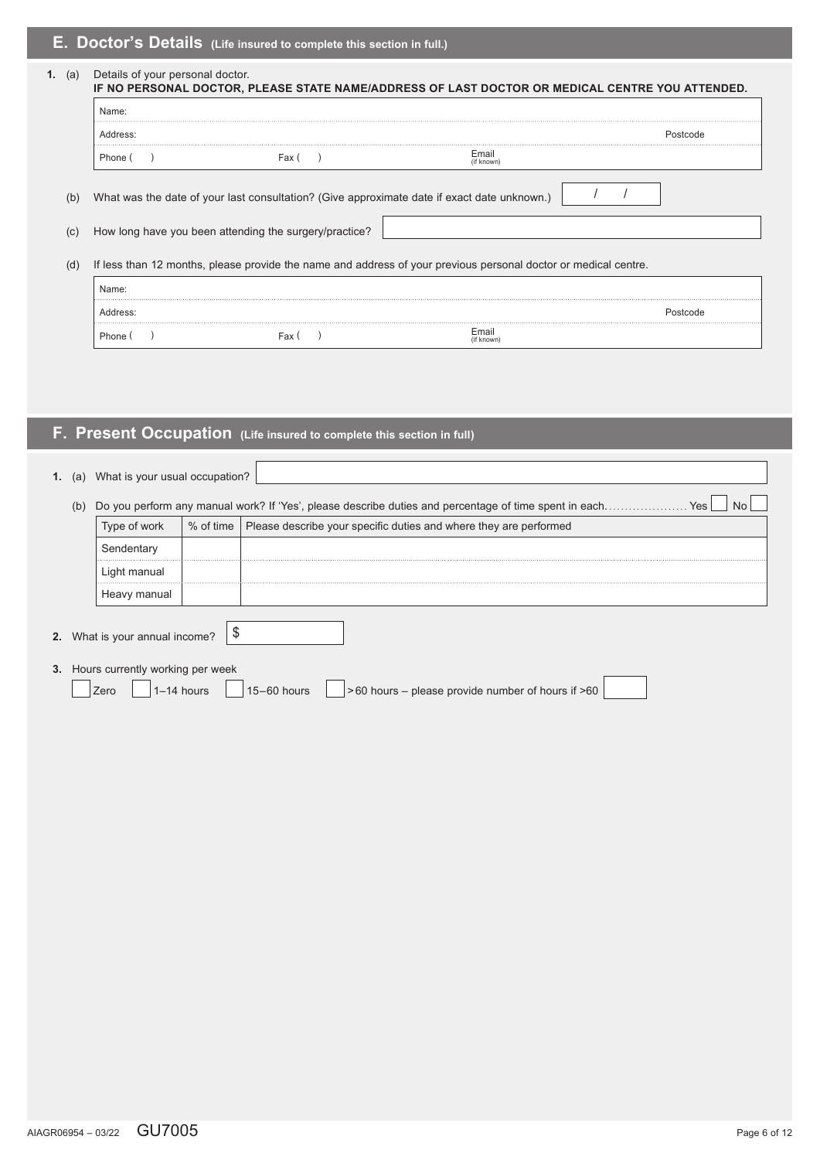# **E. Doctor's Details (Life insured to complete this section in full.)**

|            | Name:    |                                                                                             |                                                                                                                 |          |
|------------|----------|---------------------------------------------------------------------------------------------|-----------------------------------------------------------------------------------------------------------------|----------|
|            | Address: |                                                                                             |                                                                                                                 | Postcode |
|            | Phone (  | Fax (                                                                                       | Email<br>(if known)                                                                                             |          |
| (b)        |          | What was the date of your last consultation? (Give approximate date if exact date unknown.) |                                                                                                                 |          |
|            |          | How long have you been attending the surgery/practice?                                      |                                                                                                                 |          |
|            |          |                                                                                             | If less than 12 months, please provide the name and address of your previous personal doctor or medical centre. |          |
|            | Name:    |                                                                                             |                                                                                                                 |          |
| (C)<br>(d) | Address: |                                                                                             |                                                                                                                 |          |

# **F. Present Occupation (Life insured to complete this section in full)**

| What is your usual occupation?<br>1.<br>(a)                                                                                |  |  |  |  |  |  |
|----------------------------------------------------------------------------------------------------------------------------|--|--|--|--|--|--|
| Do you perform any manual work? If 'Yes', please describe duties and percentage of time spent in each<br><b>Yes</b><br>(b) |  |  |  |  |  |  |
|                                                                                                                            |  |  |  |  |  |  |
|                                                                                                                            |  |  |  |  |  |  |
|                                                                                                                            |  |  |  |  |  |  |
|                                                                                                                            |  |  |  |  |  |  |
|                                                                                                                            |  |  |  |  |  |  |
|                                                                                                                            |  |  |  |  |  |  |
|                                                                                                                            |  |  |  |  |  |  |
|                                                                                                                            |  |  |  |  |  |  |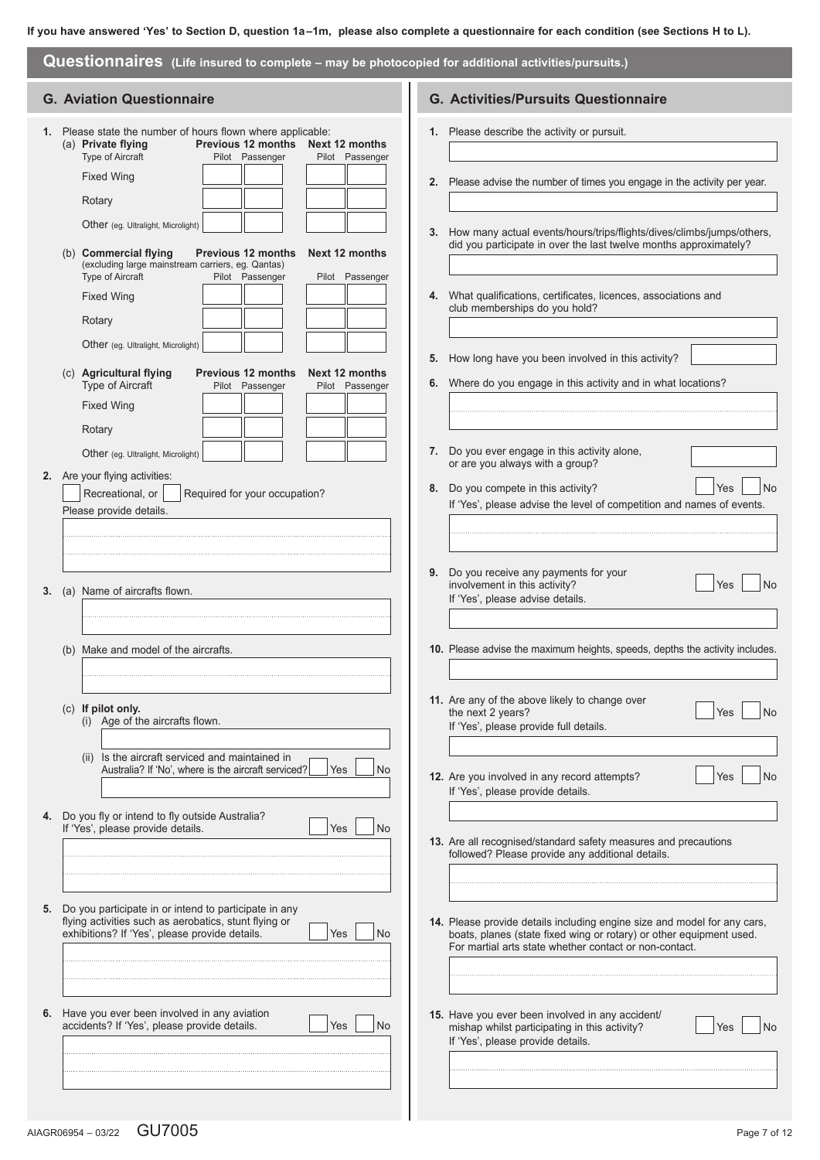| Questionnaires (Life insured to complete - may be photocopied for additional activities/pursuits.) |                                                                                                                                                                  |                                   |                                                                                                                                                                                                           |  |  |  |
|----------------------------------------------------------------------------------------------------|------------------------------------------------------------------------------------------------------------------------------------------------------------------|-----------------------------------|-----------------------------------------------------------------------------------------------------------------------------------------------------------------------------------------------------------|--|--|--|
|                                                                                                    | <b>G. Aviation Questionnaire</b>                                                                                                                                 |                                   | <b>G. Activities/Pursuits Questionnaire</b>                                                                                                                                                               |  |  |  |
|                                                                                                    | 1. Please state the number of hours flown where applicable:<br>Previous 12 months<br>(a) Private flying<br><b>Type of Aircraft</b><br>Pilot Passenger            | Next 12 months<br>Pilot Passenger | 1. Please describe the activity or pursuit.                                                                                                                                                               |  |  |  |
|                                                                                                    | <b>Fixed Wing</b><br>Rotary                                                                                                                                      |                                   | 2. Please advise the number of times you engage in the activity per year.                                                                                                                                 |  |  |  |
|                                                                                                    | Other (eg. Ultralight, Microlight)<br>(b) Commercial flying<br><b>Previous 12 months</b>                                                                         | 3.<br>Next 12 months              | How many actual events/hours/trips/flights/dives/climbs/jumps/others.<br>did you participate in over the last twelve months approximately?                                                                |  |  |  |
|                                                                                                    | (excluding large mainstream carriers, eg. Qantas)<br>Type of Aircraft<br>Pilot Passenger                                                                         | Pilot Passenger                   |                                                                                                                                                                                                           |  |  |  |
|                                                                                                    | <b>Fixed Wing</b><br>Rotary                                                                                                                                      |                                   | 4. What qualifications, certificates, licences, associations and<br>club memberships do you hold?                                                                                                         |  |  |  |
|                                                                                                    | Other (eg. Ultralight, Microlight)<br>(c) Agricultural flying<br><b>Previous 12 months</b>                                                                       | Next 12 months                    | 5. How long have you been involved in this activity?                                                                                                                                                      |  |  |  |
|                                                                                                    | Type of Aircraft<br>Pilot Passenger<br><b>Fixed Wing</b><br>Rotary                                                                                               | Pilot Passenger                   | 6. Where do you engage in this activity and in what locations?                                                                                                                                            |  |  |  |
|                                                                                                    | Other (eg. Ultralight, Microlight)<br>2. Are your flying activities:                                                                                             |                                   | 7. Do you ever engage in this activity alone,<br>or are you always with a group?                                                                                                                          |  |  |  |
|                                                                                                    | Recreational, or<br>Required for your occupation?<br>Please provide details.                                                                                     | 8.                                | No<br>Do you compete in this activity?<br>Yes<br>If 'Yes', please advise the level of competition and names of events.                                                                                    |  |  |  |
|                                                                                                    | 3. (a) Name of aircrafts flown.                                                                                                                                  |                                   | 9. Do you receive any payments for your<br>involvement in this activity?<br><b>No</b><br>Yes<br>If 'Yes', please advise details.                                                                          |  |  |  |
|                                                                                                    | (b) Make and model of the aircrafts.                                                                                                                             |                                   | 10. Please advise the maximum heights, speeds, depths the activity includes.                                                                                                                              |  |  |  |
|                                                                                                    | (c) If pilot only.<br>(i) Age of the aircrafts flown.                                                                                                            |                                   | 11. Are any of the above likely to change over<br>the next 2 years?<br>Yes<br><b>No</b><br>If 'Yes', please provide full details.                                                                         |  |  |  |
|                                                                                                    | (ii) Is the aircraft serviced and maintained in<br>Australia? If 'No', where is the aircraft serviced?                                                           | <b>No</b><br><b>Yes</b>           | 12. Are you involved in any record attempts?<br>Yes<br><b>No</b><br>If 'Yes', please provide details.                                                                                                     |  |  |  |
|                                                                                                    | 4. Do you fly or intend to fly outside Australia?<br>If 'Yes', please provide details.                                                                           | <b>No</b><br>Yes                  | 13. Are all recognised/standard safety measures and precautions<br>followed? Please provide any additional details.                                                                                       |  |  |  |
|                                                                                                    |                                                                                                                                                                  |                                   |                                                                                                                                                                                                           |  |  |  |
| 5.                                                                                                 | Do you participate in or intend to participate in any<br>flying activities such as aerobatics, stunt flying or<br>exhibitions? If 'Yes', please provide details. | Yes<br>No                         | 14. Please provide details including engine size and model for any cars,<br>boats, planes (state fixed wing or rotary) or other equipment used.<br>For martial arts state whether contact or non-contact. |  |  |  |
|                                                                                                    | 6. Have you ever been involved in any aviation<br>accidents? If 'Yes', please provide details.                                                                   | <b>No</b><br>Yes                  | 15. Have you ever been involved in any accident/<br>mishap whilst participating in this activity?<br>Yes<br><b>No</b><br>If 'Yes', please provide details.                                                |  |  |  |
|                                                                                                    |                                                                                                                                                                  |                                   |                                                                                                                                                                                                           |  |  |  |
|                                                                                                    |                                                                                                                                                                  |                                   |                                                                                                                                                                                                           |  |  |  |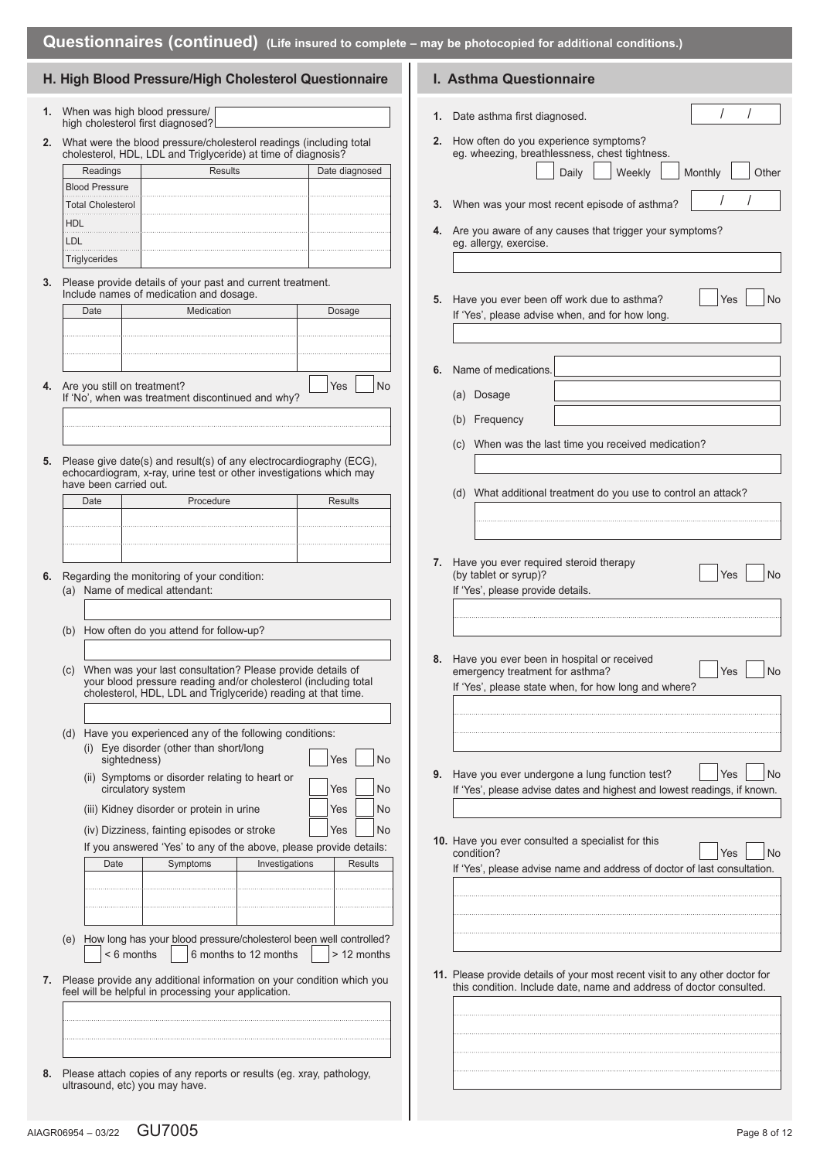### **H. High Blood Pressure/High Cholesterol Questionnaire**

- **1.** When was high blood pressure/ high cholesterol first diagnosed?
- **2.** What were the blood pressure/cholesterol readings (including total cholesterol, HDL, LDL and Triglyceride) at time of diagnosis?

| Readings              | Results | Date diagnosed |
|-----------------------|---------|----------------|
| <b>Blood Pressure</b> |         |                |
| Total Cholesterol     |         |                |
| <b>HDL</b>            |         |                |
| LDL                   |         |                |
| Triglycerides         |         |                |

**3.** Please provide details of your past and current treatment. Include names of medication and dosage.

| Date | Medication                     | Dosage    |
|------|--------------------------------|-----------|
|      |                                |           |
|      |                                |           |
|      |                                |           |
|      | 4. Are you still on treatment? | Yes<br>٧o |

- If 'No', when was treatment discontinued and why?
- **5.** Please give date(s) and result(s) of any electrocardiography (ECG), echocardiogram, x-ray, urine test or other investigations which may have been carried out.

| Date | Procedure | Results |
|------|-----------|---------|
|      |           |         |
|      |           |         |
|      |           |         |

- **6.** Regarding the monitoring of your condition: (a) Name of medical attendant:
	- (b) How often do you attend for follow-up?
	- (c) When was your last consultation? Please provide details of your blood pressure reading and/or cholesterol (including total cholesterol, HDL, LDL and Triglyceride) reading at that time.
	- (d) Have you experienced any of the following conditions: (i) Eye disorder (other than short/long
		- sightedness)  $\overline{y}$  No (ii) Symptoms or disorder relating to heart or circulatory system  $\vert$  Yes  $\vert$  No (iii) Kidney disorder or protein in urine  $\vert$  | Yes  $\vert$  | No

| (iii) Rancy alsoladi or protein in anno     | $  \cdot   \cdot   \cdot   \cdot   \cdot  $ |  |
|---------------------------------------------|---------------------------------------------|--|
| (iv) Dizziness, fainting episodes or stroke | Yes No                                      |  |

If you answered 'Yes' to any of the above, please provide details:

| Date                                                                                  | Symptoms | Investigations | Results |
|---------------------------------------------------------------------------------------|----------|----------------|---------|
|                                                                                       |          |                |         |
|                                                                                       |          |                |         |
|                                                                                       |          |                |         |
| كامحالمعامرهم المرزر مرمموا المعمامه واموام وسروموموس اممحاوا سررمرز مموا سمرما رزرما |          |                |         |

- (e) How long has your blood pressure/cholesterol been well controlled?  $\leq 6$  months  $\qquad \qquad$  6 months to 12 months  $\qquad$  > 12 months
- **7.** Please provide any additional information on your condition which you feel will be helpful in processing your application.

**8.** Please attach copies of any reports or results (eg. xray, pathology, ultrasound, etc) you may have.

|  | I. Asthma Questionnaire |
|--|-------------------------|
|  |                         |

- **1.** Date asthma first diagnosed.
- **2.** How often do you experience symptoms? eg. wheezing, breathlessness, chest tightness Daily Weekly Monthly Other

| 3. When was your most recent episode of asthma?                                      |  |
|--------------------------------------------------------------------------------------|--|
| 4. Are you aware of any causes that trigger your symptoms?<br>eq. allergy, exercise. |  |
|                                                                                      |  |

**5.** Have you ever been off work due to asthma? | Yes | No If 'Yes', please advise when, and for how long

**6.** Name of medications.

- (a) Dosage
- (b) Frequency
- (c) When was the last time you received medication?

(d) What additional treatment do you use to control an attack?

- **7.** Have you ever required steroid therapy (by tablet or syrup)? Yes No If 'Yes', please provide details.
- **8.** Have you ever been in hospital or received emergency treatment for asthma? <br>
Yes If 'Yes', please state when, for how long and where?
- **9.** Have you ever undergone a lung function test? Yes No If 'Yes', please advise dates and highest and lowest readings, if known.
- **10.** Have you ever consulted a specialist for this condition? The property of the condition? If 'Yes', please advise name and address of doctor of last consultation.
- **11.** Please provide details of your most recent visit to any other doctor for this condition. Include date, name and address of doctor consulted.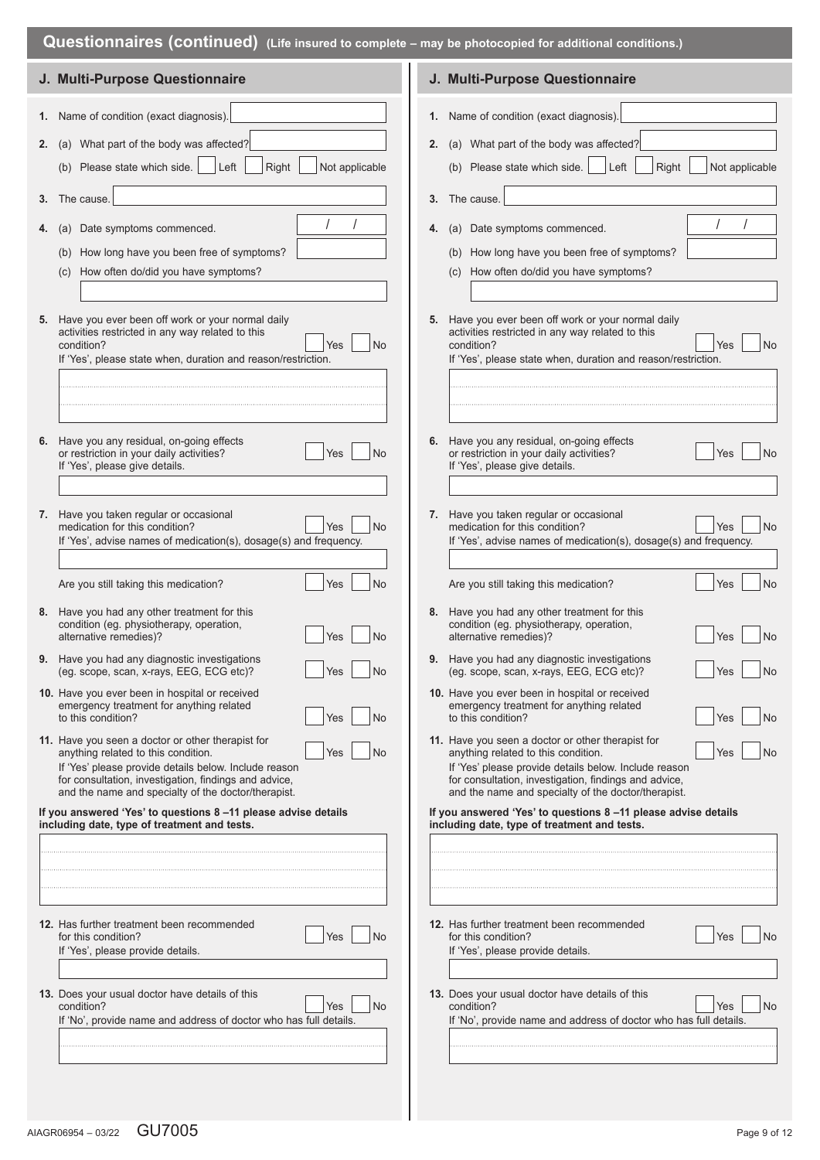| Questionnaires (Continued) (Life insured to complete – may be photocopied for additional conditions.) |                                                                                                                                                                                                                                                                                |  |                                                                                                                                                                                                                                                                                       |  |
|-------------------------------------------------------------------------------------------------------|--------------------------------------------------------------------------------------------------------------------------------------------------------------------------------------------------------------------------------------------------------------------------------|--|---------------------------------------------------------------------------------------------------------------------------------------------------------------------------------------------------------------------------------------------------------------------------------------|--|
|                                                                                                       | J. Multi-Purpose Questionnaire                                                                                                                                                                                                                                                 |  | J. Multi-Purpose Questionnaire                                                                                                                                                                                                                                                        |  |
| 2.                                                                                                    | 1. Name of condition (exact diagnosis).<br>(a) What part of the body was affected?                                                                                                                                                                                             |  | 1. Name of condition (exact diagnosis).<br>2. (a) What part of the body was affected?                                                                                                                                                                                                 |  |
|                                                                                                       | Left<br>(b) Please state which side.<br>Right<br>Not applicable<br>3. The cause.                                                                                                                                                                                               |  | Left<br>(b) Please state which side.<br>Right<br>Not applicable<br>3. The cause.                                                                                                                                                                                                      |  |
|                                                                                                       | (a) Date symptoms commenced.                                                                                                                                                                                                                                                   |  | 4. (a) Date symptoms commenced.                                                                                                                                                                                                                                                       |  |
|                                                                                                       | (b) How long have you been free of symptoms?<br>How often do/did you have symptoms?<br>(c)                                                                                                                                                                                     |  | (b) How long have you been free of symptoms?<br>(c) How often do/did you have symptoms?                                                                                                                                                                                               |  |
|                                                                                                       | 5. Have you ever been off work or your normal daily<br>activities restricted in any way related to this<br><b>No</b><br>condition?<br>Yes<br>If 'Yes', please state when, duration and reason/restriction.                                                                     |  | 5. Have you ever been off work or your normal daily<br>activities restricted in any way related to this<br>condition?<br><b>No</b><br>Yes<br>If 'Yes', please state when, duration and reason/restriction.                                                                            |  |
|                                                                                                       |                                                                                                                                                                                                                                                                                |  |                                                                                                                                                                                                                                                                                       |  |
|                                                                                                       | 6. Have you any residual, on-going effects<br>or restriction in your daily activities?<br><b>No</b><br>Yes<br>If 'Yes', please give details.                                                                                                                                   |  | 6. Have you any residual, on-going effects<br>or restriction in your daily activities?<br><b>No</b><br>Yes<br>If 'Yes', please give details.                                                                                                                                          |  |
|                                                                                                       | 7. Have you taken regular or occasional<br>No<br>medication for this condition?<br><b>Yes</b><br>If 'Yes', advise names of medication(s), dosage(s) and frequency.                                                                                                             |  | 7. Have you taken regular or occasional<br>No<br>medication for this condition?<br><b>Yes</b><br>If 'Yes', advise names of medication(s), dosage(s) and frequency.                                                                                                                    |  |
|                                                                                                       | Are you still taking this medication?<br><b>No</b><br>Yes                                                                                                                                                                                                                      |  | No<br>Are you still taking this medication?<br>Yes                                                                                                                                                                                                                                    |  |
|                                                                                                       | 8. Have you had any other treatment for this<br>condition (eg. physiotherapy, operation,<br>alternative remedies)?<br><b>No</b><br>Yes                                                                                                                                         |  | 8. Have you had any other treatment for this<br>condition (eg. physiotherapy, operation,<br>alternative remedies)?<br><b>No</b><br>Yes                                                                                                                                                |  |
|                                                                                                       | 9. Have you had any diagnostic investigations<br>(eg. scope, scan, x-rays, EEG, ECG etc)?<br><b>No</b><br>Yes                                                                                                                                                                  |  | 9. Have you had any diagnostic investigations<br>(eg. scope, scan, x-rays, EEG, ECG etc)?<br><b>No</b><br>Yes                                                                                                                                                                         |  |
|                                                                                                       | 10. Have you ever been in hospital or received<br>emergency treatment for anything related<br>No<br>to this condition?<br>Yes                                                                                                                                                  |  | 10. Have you ever been in hospital or received<br>emergency treatment for anything related<br>to this condition?<br>Yes<br>No                                                                                                                                                         |  |
|                                                                                                       | 11. Have you seen a doctor or other therapist for<br>anything related to this condition.<br>No<br>Yes<br>If 'Yes' please provide details below. Include reason<br>for consultation, investigation, findings and advice,<br>and the name and specialty of the doctor/therapist. |  | 11. Have you seen a doctor or other therapist for<br>anything related to this condition.<br>Yes<br><b>No</b><br>If 'Yes' please provide details below. Include reason<br>for consultation, investigation, findings and advice,<br>and the name and specialty of the doctor/therapist. |  |
|                                                                                                       | If you answered 'Yes' to questions 8-11 please advise details<br>including date, type of treatment and tests.                                                                                                                                                                  |  | If you answered 'Yes' to questions 8-11 please advise details<br>including date, type of treatment and tests.                                                                                                                                                                         |  |
|                                                                                                       |                                                                                                                                                                                                                                                                                |  |                                                                                                                                                                                                                                                                                       |  |
|                                                                                                       | 12. Has further treatment been recommended<br><b>No</b><br>for this condition?<br>Yes<br>If 'Yes', please provide details.                                                                                                                                                     |  | 12. Has further treatment been recommended<br><b>No</b><br>for this condition?<br>Yes<br>If 'Yes', please provide details.                                                                                                                                                            |  |
|                                                                                                       | 13. Does your usual doctor have details of this<br>condition?<br><b>No</b><br>Yes<br>If 'No', provide name and address of doctor who has full details.                                                                                                                         |  | 13. Does your usual doctor have details of this<br>condition?<br>No<br>Yes<br>If 'No', provide name and address of doctor who has full details.                                                                                                                                       |  |
|                                                                                                       |                                                                                                                                                                                                                                                                                |  |                                                                                                                                                                                                                                                                                       |  |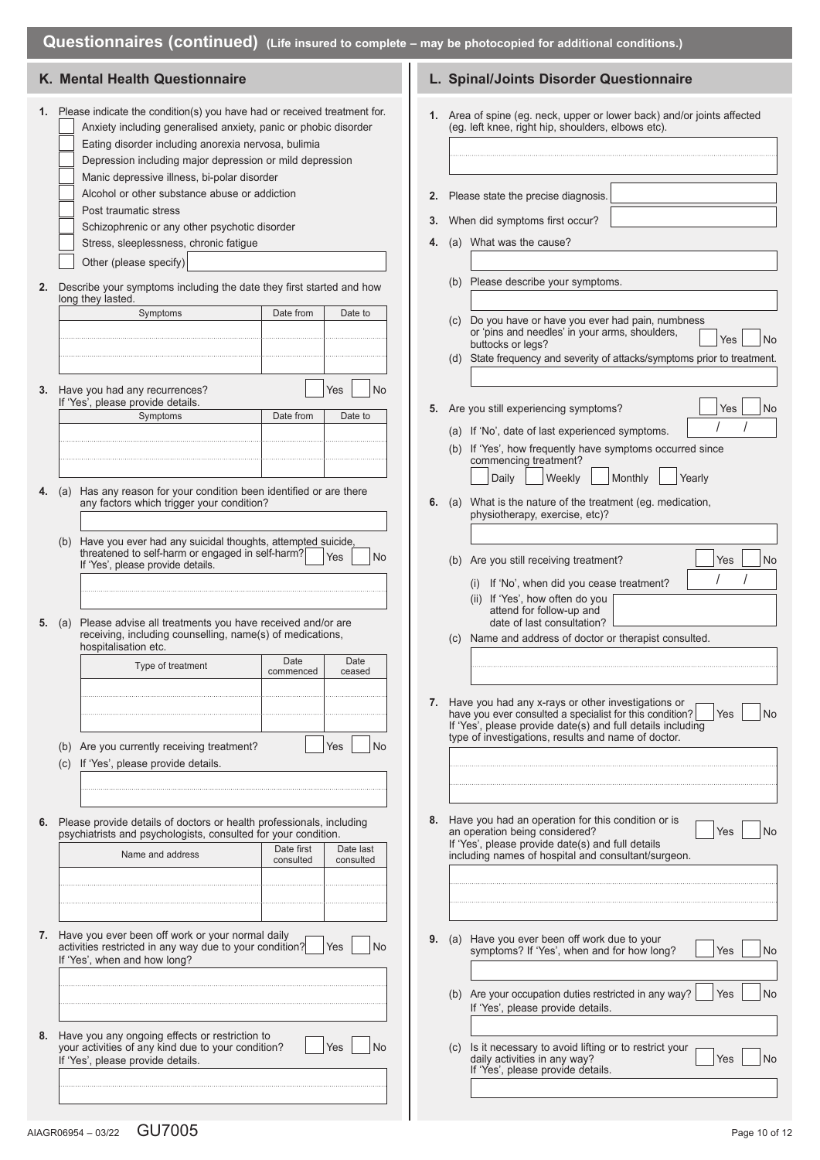|  | <b>Questionnaires (continued)</b> (Life insured to complete – may be photocopied for additional conditions.) |
|--|--------------------------------------------------------------------------------------------------------------|
|--|--------------------------------------------------------------------------------------------------------------|

|    | K. Mental Health Questionnaire                                                                                                                                                                                                                                                                                                                                                                                                                                                                               |                        | L. Spinal/Joints Disorder Questionnaire                                                                                                                                                                                                                         |
|----|--------------------------------------------------------------------------------------------------------------------------------------------------------------------------------------------------------------------------------------------------------------------------------------------------------------------------------------------------------------------------------------------------------------------------------------------------------------------------------------------------------------|------------------------|-----------------------------------------------------------------------------------------------------------------------------------------------------------------------------------------------------------------------------------------------------------------|
| 1. | Please indicate the condition(s) you have had or received treatment for.<br>Anxiety including generalised anxiety, panic or phobic disorder<br>Eating disorder including anorexia nervosa, bulimia<br>Depression including major depression or mild depression<br>Manic depressive illness, bi-polar disorder<br>Alcohol or other substance abuse or addiction<br>Post traumatic stress<br>Schizophrenic or any other psychotic disorder<br>Stress, sleeplessness, chronic fatigue<br>Other (please specify) | 2.<br>3.<br>4.         | 1. Area of spine (eg. neck, upper or lower back) and/or joints affected<br>(eg. left knee, right hip, shoulders, elbows etc).<br>Please state the precise diagnosis.<br>When did symptoms first occur?<br>(a) What was the cause?                               |
| 2. | Describe your symptoms including the date they first started and how<br>long they lasted.                                                                                                                                                                                                                                                                                                                                                                                                                    |                        | (b) Please describe your symptoms.                                                                                                                                                                                                                              |
|    | Symptoms<br>Date from                                                                                                                                                                                                                                                                                                                                                                                                                                                                                        | Date to                | (c) Do you have or have you ever had pain, numbness<br>or 'pins and needles' in your arms, shoulders,<br>Yes<br>No<br>buttocks or legs?<br>(d) State frequency and severity of attacks/symptoms prior to treatment.                                             |
|    | 3. Have you had any recurrences?<br>Yes<br>If 'Yes', please provide details.<br>Symptoms<br>Date from                                                                                                                                                                                                                                                                                                                                                                                                        | No<br>Date to          | 5. Are you still experiencing symptoms?<br><b>No</b><br>Yes<br>(a) If 'No', date of last experienced symptoms.<br>(b) If 'Yes', how frequently have symptoms occurred since<br>commencing treatment?<br>Weekly<br>Monthly<br>Daily<br>Yearly                    |
|    | Has any reason for your condition been identified or are there<br><b>4.</b> (a)<br>any factors which trigger your condition?                                                                                                                                                                                                                                                                                                                                                                                 | 6.                     | (a) What is the nature of the treatment (eg. medication,<br>physiotherapy, exercise, etc)?                                                                                                                                                                      |
|    | (b) Have you ever had any suicidal thoughts, attempted suicide,<br>threatened to self-harm or engaged in self-harm?<br>Yes<br>If 'Yes', please provide details.<br>Please advise all treatments you have received and/or are<br>5. $(a)$<br>receiving, including counselling, name(s) of medications,<br>hospitalisation etc.                                                                                                                                                                                | No                     | (b) Are you still receiving treatment?<br><b>No</b><br>Yes<br>(i) If 'No', when did you cease treatment?<br>(ii) If 'Yes', how often do you<br>attend for follow-up and<br>date of last consultation?<br>(c) Name and address of doctor or therapist consulted. |
|    | Date<br>Type of treatment<br>commenced                                                                                                                                                                                                                                                                                                                                                                                                                                                                       | Date<br>ceased         |                                                                                                                                                                                                                                                                 |
|    | (b) Are you currently receiving treatment?<br>Yes<br>If 'Yes', please provide details.<br>(C)                                                                                                                                                                                                                                                                                                                                                                                                                | No                     | 7. Have you had any x-rays or other investigations or<br>have you ever consulted a specialist for this condition?<br>Yes<br>No<br>If 'Yes', please provide date(s) and full details including<br>type of investigations, results and name of doctor.            |
|    |                                                                                                                                                                                                                                                                                                                                                                                                                                                                                                              |                        |                                                                                                                                                                                                                                                                 |
| 6. | Please provide details of doctors or health professionals, including<br>psychiatrists and psychologists, consulted for your condition.<br>Date first<br>Name and address<br>consulted                                                                                                                                                                                                                                                                                                                        | Date last<br>consulted | 8. Have you had an operation for this condition or is<br>an operation being considered?<br>Yes<br>No<br>If 'Yes', please provide date(s) and full details<br>including names of hospital and consultant/surgeon.                                                |
|    |                                                                                                                                                                                                                                                                                                                                                                                                                                                                                                              |                        |                                                                                                                                                                                                                                                                 |
|    | 7. Have you ever been off work or your normal daily<br>activities restricted in any way due to your condition?<br>Yes<br>If 'Yes', when and how long?                                                                                                                                                                                                                                                                                                                                                        | No                     | 9. (a) Have you ever been off work due to your<br>symptoms? If 'Yes', when and for how long?<br>Yes<br>No                                                                                                                                                       |
|    |                                                                                                                                                                                                                                                                                                                                                                                                                                                                                                              |                        | (b) Are your occupation duties restricted in any way?<br>Yes<br>No<br>If 'Yes', please provide details.                                                                                                                                                         |
|    | 8. Have you any ongoing effects or restriction to<br>your activities of any kind due to your condition?<br>Yes<br>If 'Yes', please provide details.                                                                                                                                                                                                                                                                                                                                                          | <b>No</b>              | (c) Is it necessary to avoid lifting or to restrict your<br>daily activities in any way?<br>No<br>Yes<br>If 'Yes', please provide details.                                                                                                                      |
|    |                                                                                                                                                                                                                                                                                                                                                                                                                                                                                                              |                        |                                                                                                                                                                                                                                                                 |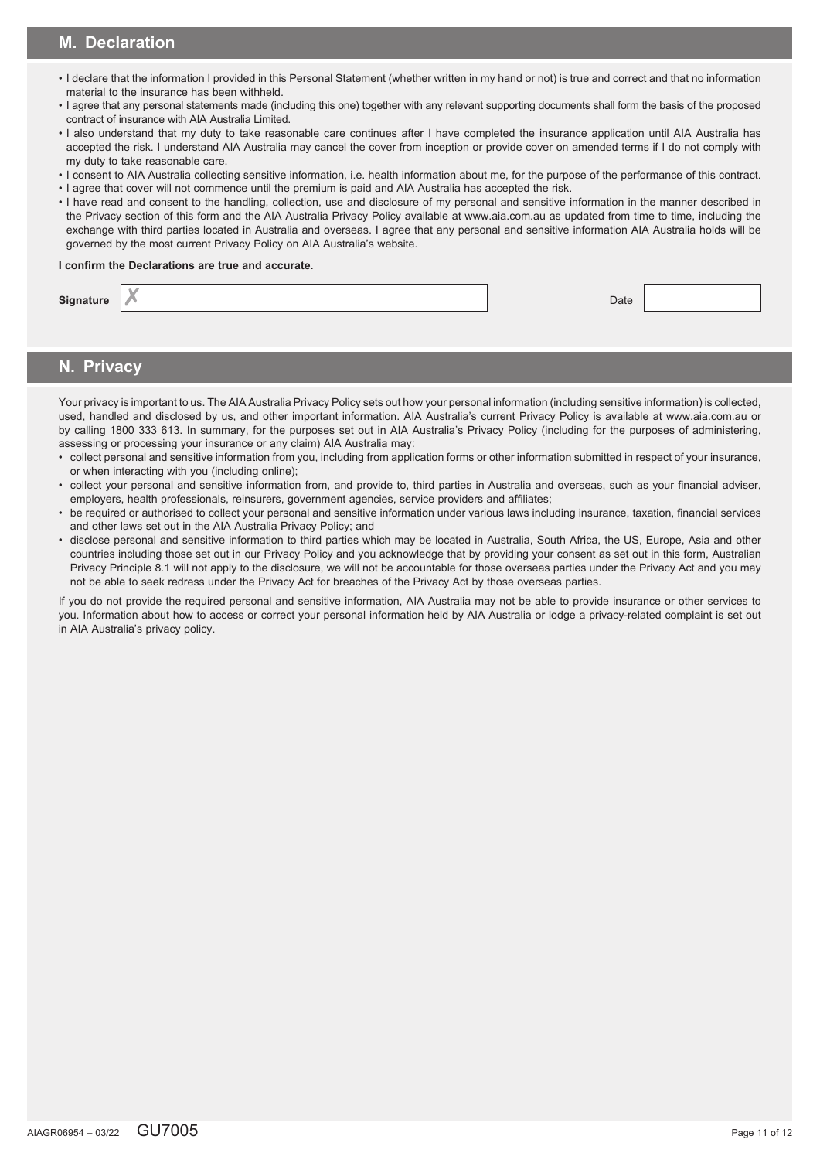# **M. Declaration**

- I declare that the information I provided in this Personal Statement (whether written in my hand or not) is true and correct and that no information material to the insurance has been withheld.
- I agree that any personal statements made (including this one) together with any relevant supporting documents shall form the basis of the proposed contract of insurance with AIA Australia Limited.
- I also understand that my duty to take reasonable care continues after I have completed the insurance application until AIA Australia has accepted the risk. I understand AIA Australia may cancel the cover from inception or provide cover on amended terms if I do not comply with my duty to take reasonable care.
- I consent to AIA Australia collecting sensitive information, i.e. health information about me, for the purpose of the performance of this contract.
- I agree that cover will not commence until the premium is paid and AIA Australia has accepted the risk.
- I have read and consent to the handling, collection, use and disclosure of my personal and sensitive information in the manner described in the Privacy section of this form and the AIA Australia Privacy Policy available at www.aia.com.au as updated from time to time, including the exchange with third parties located in Australia and overseas. I agree that any personal and sensitive information AIA Australia holds will be governed by the most current Privacy Policy on AIA Australia's website.

### **I confirm the Declarations are true and accurate.**

| Signature | Date |  |
|-----------|------|--|
|           |      |  |

# **N. Privacy**

Your privacy is important to us. The AIA Australia Privacy Policy sets out how your personal information (including sensitive information) is collected, used, handled and disclosed by us, and other important information. AIA Australia's current Privacy Policy is available at www.aia.com.au or by calling 1800 333 613. In summary, for the purposes set out in AIA Australia's Privacy Policy (including for the purposes of administering, assessing or processing your insurance or any claim) AIA Australia may:

- collect personal and sensitive information from you, including from application forms or other information submitted in respect of your insurance, or when interacting with you (including online);
- collect your personal and sensitive information from, and provide to, third parties in Australia and overseas, such as your financial adviser, employers, health professionals, reinsurers, government agencies, service providers and affiliates;
- be required or authorised to collect your personal and sensitive information under various laws including insurance, taxation, financial services and other laws set out in the AIA Australia Privacy Policy; and
- disclose personal and sensitive information to third parties which may be located in Australia, South Africa, the US, Europe, Asia and other countries including those set out in our Privacy Policy and you acknowledge that by providing your consent as set out in this form, Australian Privacy Principle 8.1 will not apply to the disclosure, we will not be accountable for those overseas parties under the Privacy Act and you may not be able to seek redress under the Privacy Act for breaches of the Privacy Act by those overseas parties.

If you do not provide the required personal and sensitive information, AIA Australia may not be able to provide insurance or other services to you. Information about how to access or correct your personal information held by AIA Australia or lodge a privacy-related complaint is set out in AIA Australia's privacy policy.